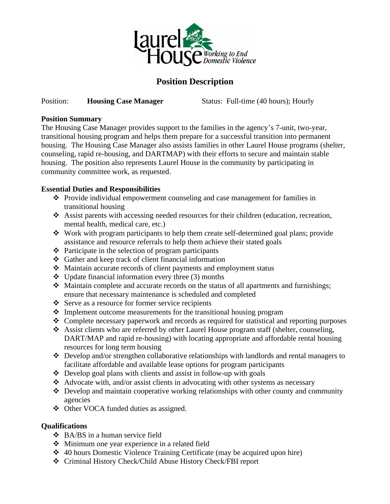

# **Position Description**

#### Position: **Housing Case Manager** Status: Full-time (40 hours); Hourly

#### **Position Summary**

The Housing Case Manager provides support to the families in the agency's 7-unit, two-year, transitional housing program and helps them prepare for a successful transition into permanent housing. The Housing Case Manager also assists families in other Laurel House programs (shelter, counseling, rapid re-housing, and DARTMAP) with their efforts to secure and maintain stable housing. The position also represents Laurel House in the community by participating in community committee work, as requested.

### **Essential Duties and Responsibilities**

- ❖ Provide individual empowerment counseling and case management for families in transitional housing
- ❖ Assist parents with accessing needed resources for their children (education, recreation, mental health, medical care, etc.)
- ❖ Work with program participants to help them create self-determined goal plans; provide assistance and resource referrals to help them achieve their stated goals
- ❖ Participate in the selection of program participants
- ❖ Gather and keep track of client financial information
- ❖ Maintain accurate records of client payments and employment status
- $\triangle$  Update financial information every three (3) months
- ❖ Maintain complete and accurate records on the status of all apartments and furnishings; ensure that necessary maintenance is scheduled and completed
- ❖ Serve as a resource for former service recipients
- ❖ Implement outcome measurements for the transitional housing program
- ❖ Complete necessary paperwork and records as required for statistical and reporting purposes
- ❖ Assist clients who are referred by other Laurel House program staff (shelter, counseling, DART/MAP and rapid re-housing) with locating appropriate and affordable rental housing resources for long term housing
- ❖ Develop and/or strengthen collaborative relationships with landlords and rental managers to facilitate affordable and available lease options for program participants
- ❖ Develop goal plans with clients and assist in follow-up with goals
- ❖ Advocate with, and/or assist clients in advocating with other systems as necessary
- ❖ Develop and maintain cooperative working relationships with other county and community agencies
- ❖ Other VOCA funded duties as assigned.

## **Qualifications**

- ❖ BA/BS in a human service field
- ❖ Minimum one year experience in a related field
- ❖ 40 hours Domestic Violence Training Certificate (may be acquired upon hire)
- ❖ Criminal History Check/Child Abuse History Check/FBI report